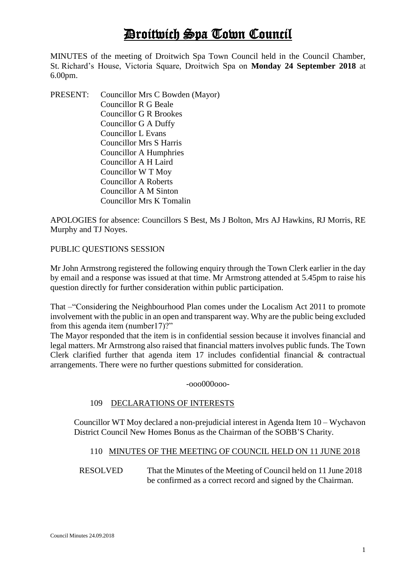# Droitwich Spa Town Council

MINUTES of the meeting of Droitwich Spa Town Council held in the Council Chamber, St. Richard's House, Victoria Square, Droitwich Spa on **Monday 24 September 2018** at 6.00pm.

PRESENT: Councillor Mrs C Bowden (Mayor) Councillor R G Beale Councillor G R Brookes Councillor G A Duffy Councillor L Evans Councillor Mrs S Harris Councillor A Humphries Councillor A H Laird Councillor W T Moy Councillor A Roberts Councillor A M Sinton Councillor Mrs K Tomalin

APOLOGIES for absence: Councillors S Best, Ms J Bolton, Mrs AJ Hawkins, RJ Morris, RE Murphy and TJ Noyes.

# PUBLIC QUESTIONS SESSION

Mr John Armstrong registered the following enquiry through the Town Clerk earlier in the day by email and a response was issued at that time. Mr Armstrong attended at 5.45pm to raise his question directly for further consideration within public participation.

That –"Considering the Neighbourhood Plan comes under the Localism Act 2011 to promote involvement with the public in an open and transparent way. Why are the public being excluded from this agenda item (number17)?"

The Mayor responded that the item is in confidential session because it involves financial and legal matters. Mr Armstrong also raised that financial matters involves public funds. The Town Clerk clarified further that agenda item 17 includes confidential financial & contractual arrangements. There were no further questions submitted for consideration.

-ooo000ooo-

# 109 DECLARATIONS OF INTERESTS

Councillor WT Moy declared a non-prejudicial interest in Agenda Item 10 – Wychavon District Council New Homes Bonus as the Chairman of the SOBB'S Charity.

# 110 MINUTES OF THE MEETING OF COUNCIL HELD ON 11 JUNE 2018

RESOLVED That the Minutes of the Meeting of Council held on 11 June 2018 be confirmed as a correct record and signed by the Chairman.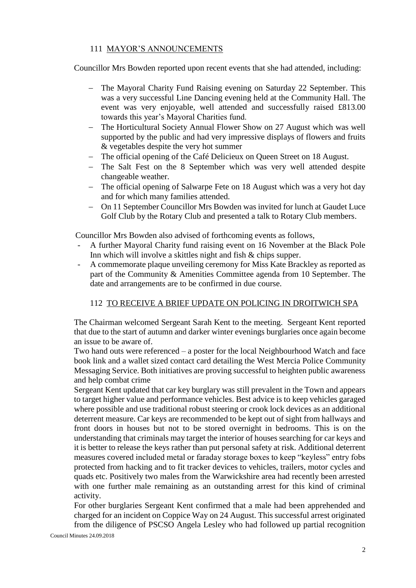# 111 MAYOR'S ANNOUNCEMENTS

Councillor Mrs Bowden reported upon recent events that she had attended, including:

- The Mayoral Charity Fund Raising evening on Saturday 22 September. This was a very successful Line Dancing evening held at the Community Hall. The event was very enjoyable, well attended and successfully raised £813.00 towards this year's Mayoral Charities fund.
- The Horticultural Society Annual Flower Show on 27 August which was well supported by the public and had very impressive displays of flowers and fruits & vegetables despite the very hot summer
- The official opening of the Café Delicieux on Queen Street on 18 August.
- The Salt Fest on the 8 September which was very well attended despite changeable weather.
- The official opening of Salwarpe Fete on 18 August which was a very hot day and for which many families attended.
- On 11 September Councillor Mrs Bowden was invited for lunch at Gaudet Luce Golf Club by the Rotary Club and presented a talk to Rotary Club members.

Councillor Mrs Bowden also advised of forthcoming events as follows,

- A further Mayoral Charity fund raising event on 16 November at the Black Pole Inn which will involve a skittles night and fish & chips supper.
- A commemorate plaque unveiling ceremony for Miss Kate Brackley as reported as part of the Community & Amenities Committee agenda from 10 September. The date and arrangements are to be confirmed in due course.

# 112 TO RECEIVE A BRIEF UPDATE ON POLICING IN DROITWICH SPA

The Chairman welcomed Sergeant Sarah Kent to the meeting. Sergeant Kent reported that due to the start of autumn and darker winter evenings burglaries once again become an issue to be aware of.

Two hand outs were referenced – a poster for the local Neighbourhood Watch and face book link and a wallet sized contact card detailing the West Mercia Police Community Messaging Service. Both initiatives are proving successful to heighten public awareness and help combat crime

Sergeant Kent updated that car key burglary was still prevalent in the Town and appears to target higher value and performance vehicles. Best advice is to keep vehicles garaged where possible and use traditional robust steering or crook lock devices as an additional deterrent measure. Car keys are recommended to be kept out of sight from hallways and front doors in houses but not to be stored overnight in bedrooms. This is on the understanding that criminals may target the interior of houses searching for car keys and it is better to release the keys rather than put personal safety at risk. Additional deterrent measures covered included metal or faraday storage boxes to keep "keyless" entry fobs protected from hacking and to fit tracker devices to vehicles, trailers, motor cycles and quads etc. Positively two males from the Warwickshire area had recently been arrested with one further male remaining as an outstanding arrest for this kind of criminal activity.

For other burglaries Sergeant Kent confirmed that a male had been apprehended and charged for an incident on Coppice Way on 24 August. This successful arrest originated from the diligence of PSCSO Angela Lesley who had followed up partial recognition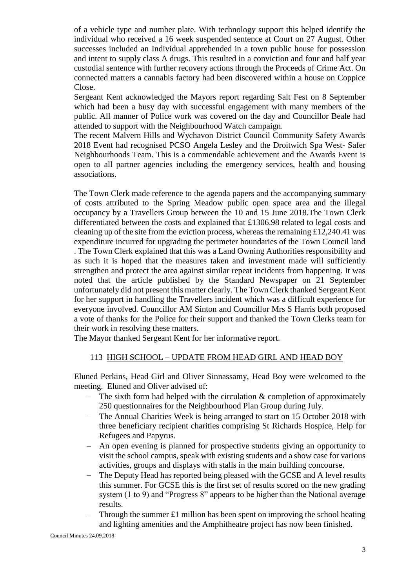of a vehicle type and number plate. With technology support this helped identify the individual who received a 16 week suspended sentence at Court on 27 August. Other successes included an Individual apprehended in a town public house for possession and intent to supply class A drugs. This resulted in a conviction and four and half year custodial sentence with further recovery actions through the Proceeds of Crime Act. On connected matters a cannabis factory had been discovered within a house on Coppice Close.

Sergeant Kent acknowledged the Mayors report regarding Salt Fest on 8 September which had been a busy day with successful engagement with many members of the public. All manner of Police work was covered on the day and Councillor Beale had attended to support with the Neighbourhood Watch campaign.

The recent Malvern Hills and Wychavon District Council Community Safety Awards 2018 Event had recognised PCSO Angela Lesley and the Droitwich Spa West- Safer Neighbourhoods Team. This is a commendable achievement and the Awards Event is open to all partner agencies including the emergency services, health and housing associations.

The Town Clerk made reference to the agenda papers and the accompanying summary of costs attributed to the Spring Meadow public open space area and the illegal occupancy by a Travellers Group between the 10 and 15 June 2018.The Town Clerk differentiated between the costs and explained that £1306.98 related to legal costs and cleaning up of the site from the eviction process, whereas the remaining £12,240.41 was expenditure incurred for upgrading the perimeter boundaries of the Town Council land . The Town Clerk explained that this was a Land Owning Authorities responsibility and as such it is hoped that the measures taken and investment made will sufficiently strengthen and protect the area against similar repeat incidents from happening. It was noted that the article published by the Standard Newspaper on 21 September unfortunately did not present this matter clearly. The Town Clerk thanked Sergeant Kent for her support in handling the Travellers incident which was a difficult experience for everyone involved. Councillor AM Sinton and Councillor Mrs S Harris both proposed a vote of thanks for the Police for their support and thanked the Town Clerks team for their work in resolving these matters.

The Mayor thanked Sergeant Kent for her informative report.

# 113 HIGH SCHOOL – UPDATE FROM HEAD GIRL AND HEAD BOY

Eluned Perkins, Head Girl and Oliver Sinnassamy, Head Boy were welcomed to the meeting. Eluned and Oliver advised of:

- The sixth form had helped with the circulation  $\&$  completion of approximately 250 questionnaires for the Neighbourhood Plan Group during July.
- The Annual Charities Week is being arranged to start on 15 October 2018 with three beneficiary recipient charities comprising St Richards Hospice, Help for Refugees and Papyrus.
- An open evening is planned for prospective students giving an opportunity to visit the school campus, speak with existing students and a show case for various activities, groups and displays with stalls in the main building concourse.
- The Deputy Head has reported being pleased with the GCSE and A level results this summer. For GCSE this is the first set of results scored on the new grading system (1 to 9) and "Progress 8" appears to be higher than the National average results.
- Through the summer  $£1$  million has been spent on improving the school heating and lighting amenities and the Amphitheatre project has now been finished.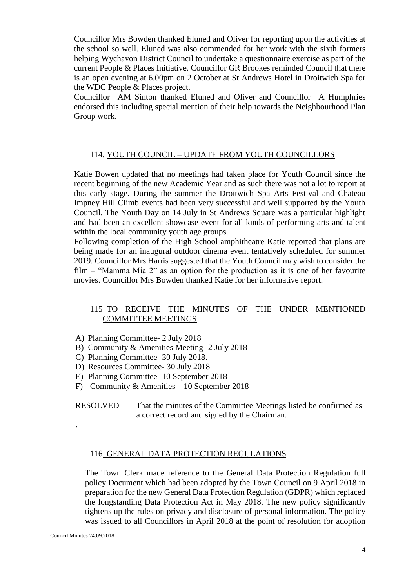Councillor Mrs Bowden thanked Eluned and Oliver for reporting upon the activities at the school so well. Eluned was also commended for her work with the sixth formers helping Wychavon District Council to undertake a questionnaire exercise as part of the current People & Places Initiative. Councillor GR Brookes reminded Council that there is an open evening at 6.00pm on 2 October at St Andrews Hotel in Droitwich Spa for the WDC People & Places project.

Councillor AM Sinton thanked Eluned and Oliver and Councillor A Humphries endorsed this including special mention of their help towards the Neighbourhood Plan Group work.

#### 114. YOUTH COUNCIL – UPDATE FROM YOUTH COUNCILLORS

Katie Bowen updated that no meetings had taken place for Youth Council since the recent beginning of the new Academic Year and as such there was not a lot to report at this early stage. During the summer the Droitwich Spa Arts Festival and Chateau Impney Hill Climb events had been very successful and well supported by the Youth Council. The Youth Day on 14 July in St Andrews Square was a particular highlight and had been an excellent showcase event for all kinds of performing arts and talent within the local community youth age groups.

Following completion of the High School amphitheatre Katie reported that plans are being made for an inaugural outdoor cinema event tentatively scheduled for summer 2019. Councillor Mrs Harris suggested that the Youth Council may wish to consider the film – "Mamma Mia 2" as an option for the production as it is one of her favourite movies. Councillor Mrs Bowden thanked Katie for her informative report.

# 115 TO RECEIVE THE MINUTES OF THE UNDER MENTIONED COMMITTEE MEETINGS

- A) Planning Committee- 2 July 2018
- B) Community & Amenities Meeting -2 July 2018
- C) Planning Committee -30 July 2018.
- D) Resources Committee- 30 July 2018
- E) Planning Committee -10 September 2018
- F) Community & Amenities 10 September 2018

RESOLVED That the minutes of the Committee Meetings listed be confirmed as a correct record and signed by the Chairman.

#### 116 GENERAL DATA PROTECTION REGULATIONS

The Town Clerk made reference to the General Data Protection Regulation full policy Document which had been adopted by the Town Council on 9 April 2018 in preparation for the new General Data Protection Regulation (GDPR) which replaced the longstanding Data Protection Act in May 2018. The new policy significantly tightens up the rules on privacy and disclosure of personal information. The policy was issued to all Councillors in April 2018 at the point of resolution for adoption

.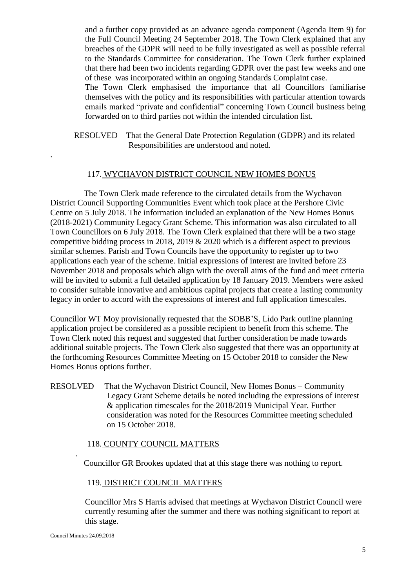and a further copy provided as an advance agenda component (Agenda Item 9) for the Full Council Meeting 24 September 2018. The Town Clerk explained that any breaches of the GDPR will need to be fully investigated as well as possible referral to the Standards Committee for consideration. The Town Clerk further explained that there had been two incidents regarding GDPR over the past few weeks and one of these was incorporated within an ongoing Standards Complaint case.

The Town Clerk emphasised the importance that all Councillors familiarise themselves with the policy and its responsibilities with particular attention towards emails marked "private and confidential" concerning Town Council business being forwarded on to third parties not within the intended circulation list.

RESOLVED That the General Date Protection Regulation (GDPR) and its related Responsibilities are understood and noted.

# 117. WYCHAVON DISTRICT COUNCIL NEW HOMES BONUS

 The Town Clerk made reference to the circulated details from the Wychavon District Council Supporting Communities Event which took place at the Pershore Civic Centre on 5 July 2018. The information included an explanation of the New Homes Bonus (2018-2021) Community Legacy Grant Scheme. This information was also circulated to all Town Councillors on 6 July 2018. The Town Clerk explained that there will be a two stage competitive bidding process in 2018, 2019 & 2020 which is a different aspect to previous similar schemes. Parish and Town Councils have the opportunity to register up to two applications each year of the scheme. Initial expressions of interest are invited before 23 November 2018 and proposals which align with the overall aims of the fund and meet criteria will be invited to submit a full detailed application by 18 January 2019. Members were asked to consider suitable innovative and ambitious capital projects that create a lasting community legacy in order to accord with the expressions of interest and full application timescales.

Councillor WT Moy provisionally requested that the SOBB'S, Lido Park outline planning application project be considered as a possible recipient to benefit from this scheme. The Town Clerk noted this request and suggested that further consideration be made towards additional suitable projects. The Town Clerk also suggested that there was an opportunity at the forthcoming Resources Committee Meeting on 15 October 2018 to consider the New Homes Bonus options further.

RESOLVED That the Wychavon District Council, New Homes Bonus – Community Legacy Grant Scheme details be noted including the expressions of interest & application timescales for the 2018/2019 Municipal Year. Further consideration was noted for the Resources Committee meeting scheduled on 15 October 2018.

## 118. COUNTY COUNCIL MATTERS

Councillor GR Brookes updated that at this stage there was nothing to report.

## 119. DISTRICT COUNCIL MATTERS

Councillor Mrs S Harris advised that meetings at Wychavon District Council were currently resuming after the summer and there was nothing significant to report at this stage.

.

.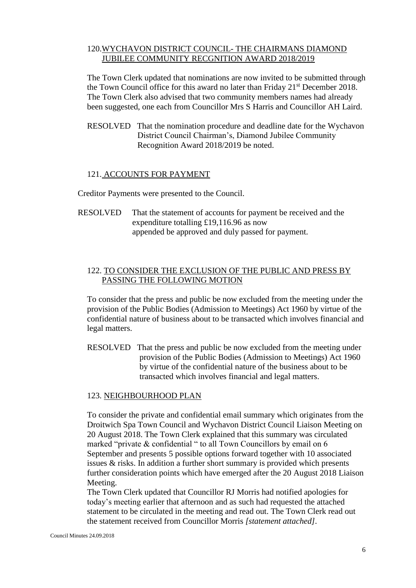# 120.WYCHAVON DISTRICT COUNCIL- THE CHAIRMANS DIAMOND JUBILEE COMMUNITY RECGNITION AWARD 2018/2019

The Town Clerk updated that nominations are now invited to be submitted through the Town Council office for this award no later than Friday 21<sup>st</sup> December 2018. The Town Clerk also advised that two community members names had already been suggested, one each from Councillor Mrs S Harris and Councillor AH Laird.

RESOLVED That the nomination procedure and deadline date for the Wychavon District Council Chairman's, Diamond Jubilee Community Recognition Award 2018/2019 be noted.

#### 121. ACCOUNTS FOR PAYMENT

Creditor Payments were presented to the Council.

RESOLVED That the statement of accounts for payment be received and the expenditure totalling £19,116.96 as now appended be approved and duly passed for payment.

# 122. TO CONSIDER THE EXCLUSION OF THE PUBLIC AND PRESS BY PASSING THE FOLLOWING MOTION

To consider that the press and public be now excluded from the meeting under the provision of the Public Bodies (Admission to Meetings) Act 1960 by virtue of the confidential nature of business about to be transacted which involves financial and legal matters.

RESOLVED That the press and public be now excluded from the meeting under provision of the Public Bodies (Admission to Meetings) Act 1960 by virtue of the confidential nature of the business about to be transacted which involves financial and legal matters.

#### 123. NEIGHBOURHOOD PLAN

To consider the private and confidential email summary which originates from the Droitwich Spa Town Council and Wychavon District Council Liaison Meeting on 20 August 2018. The Town Clerk explained that this summary was circulated marked "private & confidential " to all Town Councillors by email on 6 September and presents 5 possible options forward together with 10 associated issues & risks. In addition a further short summary is provided which presents further consideration points which have emerged after the 20 August 2018 Liaison Meeting.

The Town Clerk updated that Councillor RJ Morris had notified apologies for today's meeting earlier that afternoon and as such had requested the attached statement to be circulated in the meeting and read out. The Town Clerk read out the statement received from Councillor Morris *[statement attached].*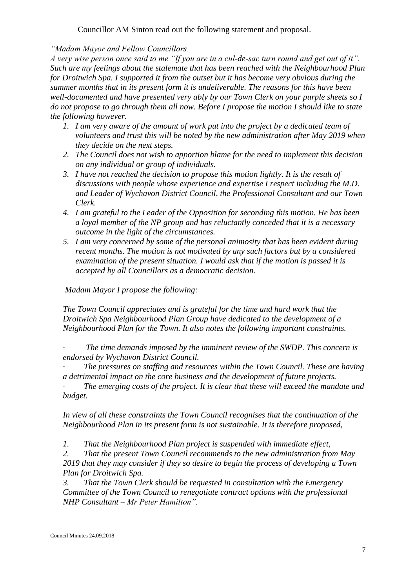Councillor AM Sinton read out the following statement and proposal.

*"Madam Mayor and Fellow Councillors*

*A very wise person once said to me "If you are in a cul-de-sac turn round and get out of it". Such are my feelings about the stalemate that has been reached with the Neighbourhood Plan for Droitwich Spa. I supported it from the outset but it has become very obvious during the summer months that in its present form it is undeliverable. The reasons for this have been well-documented and have presented very ably by our Town Clerk on your purple sheets so I do not propose to go through them all now. Before I propose the motion I should like to state the following however.* 

- *1. I am very aware of the amount of work put into the project by a dedicated team of volunteers and trust this will be noted by the new administration after May 2019 when they decide on the next steps.*
- *2. The Council does not wish to apportion blame for the need to implement this decision on any individual or group of individuals.*
- *3. I have not reached the decision to propose this motion lightly. It is the result of discussions with people whose experience and expertise I respect including the M.D. and Leader of Wychavon District Council, the Professional Consultant and our Town Clerk.*
- *4. I am grateful to the Leader of the Opposition for seconding this motion. He has been a loyal member of the NP group and has reluctantly conceded that it is a necessary outcome in the light of the circumstances.*
- *5. I am very concerned by some of the personal animosity that has been evident during recent months. The motion is not motivated by any such factors but by a considered examination of the present situation. I would ask that if the motion is passed it is accepted by all Councillors as a democratic decision.*

*Madam Mayor I propose the following:*

*The Town Council appreciates and is grateful for the time and hard work that the Droitwich Spa Neighbourhood Plan Group have dedicated to the development of a Neighbourhood Plan for the Town. It also notes the following important constraints.*

*· The time demands imposed by the imminent review of the SWDP. This concern is endorsed by Wychavon District Council.*

*· The pressures on staffing and resources within the Town Council. These are having a detrimental impact on the core business and the development of future projects.*

*· The emerging costs of the project. It is clear that these will exceed the mandate and budget.*

*In view of all these constraints the Town Council recognises that the continuation of the Neighbourhood Plan in its present form is not sustainable. It is therefore proposed,*

*1. That the Neighbourhood Plan project is suspended with immediate effect,*

*2. That the present Town Council recommends to the new administration from May 2019 that they may consider if they so desire to begin the process of developing a Town Plan for Droitwich Spa.*

*3. That the Town Clerk should be requested in consultation with the Emergency Committee of the Town Council to renegotiate contract options with the professional NHP Consultant – Mr Peter Hamilton".*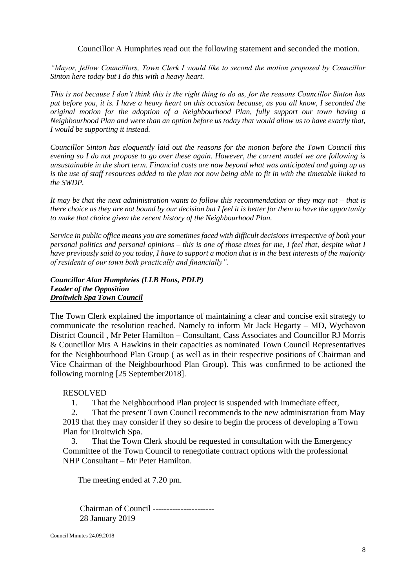Councillor A Humphries read out the following statement and seconded the motion.

*"Mayor, fellow Councillors, Town Clerk I would like to second the motion proposed by Councillor Sinton here today but I do this with a heavy heart.*

*This is not because I don't think this is the right thing to do as, for the reasons Councillor Sinton has put before you, it is. I have a heavy heart on this occasion because, as you all know, I seconded the original motion for the adoption of a Neighbourhood Plan, fully support our town having a Neighbourhood Plan and were than an option before us today that would allow us to have exactly that, I would be supporting it instead.*

*Councillor Sinton has eloquently laid out the reasons for the motion before the Town Council this evening so I do not propose to go over these again. However, the current model we are following is unsustainable in the short term. Financial costs are now beyond what was anticipated and going up as is the use of staff resources added to the plan not now being able to fit in with the timetable linked to the SWDP.*

*It may be that the next administration wants to follow this recommendation or they may not – that is there choice as they are not bound by our decision but I feel it is better for them to have the opportunity to make that choice given the recent history of the Neighbourhood Plan.*

*Service in public office means you are sometimes faced with difficult decisions irrespective of both your personal politics and personal opinions – this is one of those times for me, I feel that, despite what I have previously said to you today, I have to support a motion that is in the best interests of the majority of residents of our town both practically and financially".*

*Councillor Alan Humphries (LLB Hons, PDLP) Leader of the Opposition Droitwich Spa Town Council*

The Town Clerk explained the importance of maintaining a clear and concise exit strategy to communicate the resolution reached. Namely to inform Mr Jack Hegarty – MD, Wychavon District Council , Mr Peter Hamilton – Consultant, Cass Associates and Councillor RJ Morris & Councillor Mrs A Hawkins in their capacities as nominated Town Council Representatives for the Neighbourhood Plan Group ( as well as in their respective positions of Chairman and Vice Chairman of the Neighbourhood Plan Group). This was confirmed to be actioned the following morning [25 September2018].

# RESOLVED

1. That the Neighbourhood Plan project is suspended with immediate effect,

 2. That the present Town Council recommends to the new administration from May 2019 that they may consider if they so desire to begin the process of developing a Town Plan for Droitwich Spa.

 3. That the Town Clerk should be requested in consultation with the Emergency Committee of the Town Council to renegotiate contract options with the professional NHP Consultant – Mr Peter Hamilton.

The meeting ended at 7.20 pm.

Chairman of Council ---------------------- 28 January 2019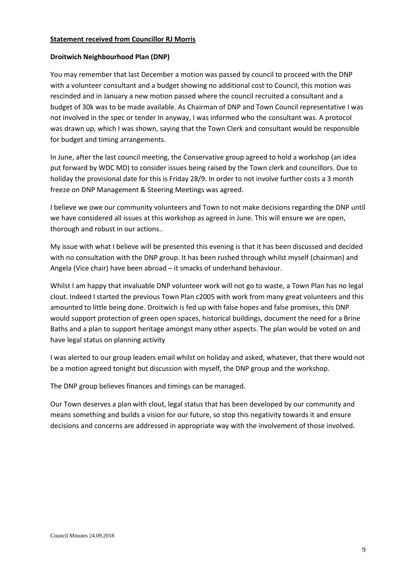#### **Statement received from Councillor RJ Morris**

#### **Droitwich Neighbourhood Plan (DNP)**

You may remember that last December a motion was passed by council to proceed with the DNP with a volunteer consultant and a budget showing no additional cost to Council, this motion was rescinded and in January a new motion passed where the council recruited a consultant and a budget of 30k was to be made available. As Chairman of DNP and Town Council representative I was not involved in the spec or tender In anyway, I was informed who the consultant was. A protocol was drawn up, which I was shown, saying that the Town Clerk and consultant would be responsible for budget and timing arrangements.

In June, after the last council meeting, the Conservative group agreed to hold a workshop (an idea put forward by WDC MD) to consider issues being raised by the Town clerk and councillors. Due to holiday the provisional date for this is Friday 28/9. In order to not involve further costs a 3 month freeze on DNP Management & Steering Meetings was agreed.

I believe we owe our community volunteers and Town to not make decisions regarding the DNP until we have considered all issues at this workshop as agreed in June. This will ensure we are open, thorough and robust in our actions..

My issue with what I believe will be presented this evening is that it has been discussed and decided with no consultation with the DNP group. It has been rushed through whilst myself (chairman) and Angela (Vice chair) have been abroad – it smacks of underhand behaviour.

Whilst I am happy that invaluable DNP volunteer work will not go to waste, a Town Plan has no legal clout. Indeed I started the previous Town Plan c2005 with work from many great volunteers and this amounted to little being done. Droitwich is fed up with false hopes and false promises, this DNP would support protection of green open spaces, historical buildings, document the need for a Brine Baths and a plan to support heritage amongst many other aspects. The plan would be voted on and have legal status on planning activity

I was alerted to our group leaders email whilst on holiday and asked, whatever, that there would not be a motion agreed tonight but discussion with myself, the DNP group and the workshop.

The DNP group believes finances and timings can be managed.

Our Town deserves a plan with clout, legal status that has been developed by our community and means something and builds a vision for our future, so stop this negativity towards it and ensure decisions and concerns are addressed in appropriate way with the involvement of those involved.